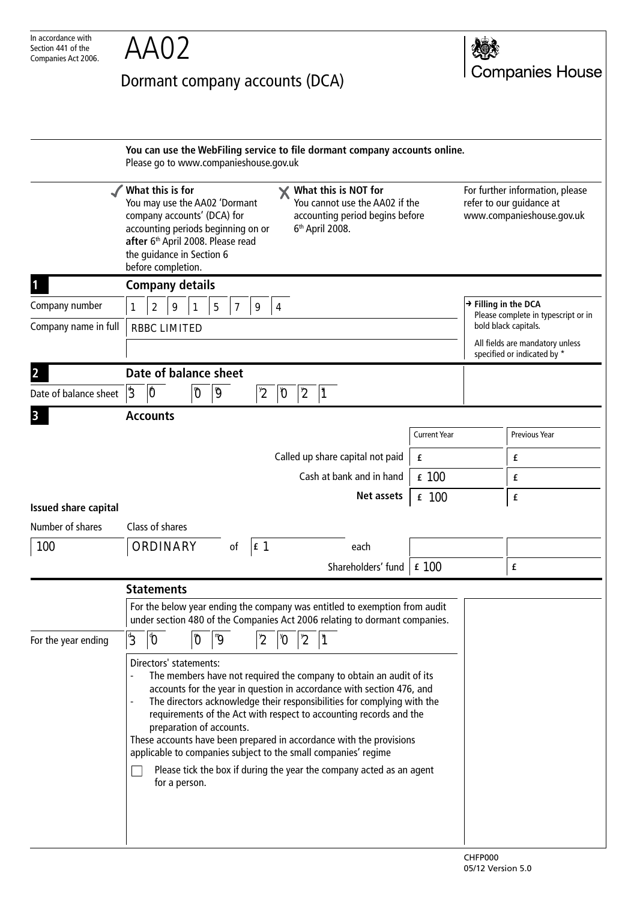| In accordance with<br>Section 441 of the<br>Companies Act 2006. |                                                                                                                                                                                                                                                                                                                                                                                                                                                                                                                                                                                       |                                                                                        |   |   |  |                                                                                                                          |   |                                     |                             |  |                                  |                                                                                          |                                                                                                                                                          |  |  |                      |
|-----------------------------------------------------------------|---------------------------------------------------------------------------------------------------------------------------------------------------------------------------------------------------------------------------------------------------------------------------------------------------------------------------------------------------------------------------------------------------------------------------------------------------------------------------------------------------------------------------------------------------------------------------------------|----------------------------------------------------------------------------------------|---|---|--|--------------------------------------------------------------------------------------------------------------------------|---|-------------------------------------|-----------------------------|--|----------------------------------|------------------------------------------------------------------------------------------|----------------------------------------------------------------------------------------------------------------------------------------------------------|--|--|----------------------|
|                                                                 | Dormant company accounts (DCA)                                                                                                                                                                                                                                                                                                                                                                                                                                                                                                                                                        |                                                                                        |   |   |  |                                                                                                                          |   |                                     |                             |  |                                  | <b>Companies House</b>                                                                   |                                                                                                                                                          |  |  |                      |
|                                                                 |                                                                                                                                                                                                                                                                                                                                                                                                                                                                                                                                                                                       | Please go to www.companieshouse.gov.uk                                                 |   |   |  |                                                                                                                          |   |                                     |                             |  |                                  |                                                                                          | You can use the WebFiling service to file dormant company accounts online.                                                                               |  |  |                      |
|                                                                 | What this is for<br>You may use the AA02 'Dormant<br>company accounts' (DCA) for<br>accounting periods beginning on or<br>after 6th April 2008. Please read<br>the guidance in Section 6<br>before completion.                                                                                                                                                                                                                                                                                                                                                                        |                                                                                        |   |   |  | What this is NOT for<br>You cannot use the AA02 if the<br>accounting period begins before<br>6 <sup>th</sup> April 2008. |   |                                     |                             |  |                                  | For further information, please<br>refer to our guidance at<br>www.companieshouse.gov.uk |                                                                                                                                                          |  |  |                      |
|                                                                 |                                                                                                                                                                                                                                                                                                                                                                                                                                                                                                                                                                                       | <b>Company details</b>                                                                 |   |   |  |                                                                                                                          |   |                                     |                             |  |                                  |                                                                                          |                                                                                                                                                          |  |  |                      |
| Company number                                                  | 1                                                                                                                                                                                                                                                                                                                                                                                                                                                                                                                                                                                     | $\rightarrow$ Filling in the DCA<br>$\boldsymbol{2}$<br>$\sqrt{5}$<br>9<br>7<br>9<br>4 |   |   |  |                                                                                                                          |   | Please complete in typescript or in |                             |  |                                  |                                                                                          |                                                                                                                                                          |  |  |                      |
| Company name in full                                            |                                                                                                                                                                                                                                                                                                                                                                                                                                                                                                                                                                                       | bold black capitals.<br><b>RBBC LIMITED</b><br>All fields are mandatory unless         |   |   |  |                                                                                                                          |   |                                     | specified or indicated by * |  |                                  |                                                                                          |                                                                                                                                                          |  |  |                      |
|                                                                 |                                                                                                                                                                                                                                                                                                                                                                                                                                                                                                                                                                                       | Date of balance sheet                                                                  |   |   |  |                                                                                                                          |   |                                     |                             |  |                                  |                                                                                          |                                                                                                                                                          |  |  |                      |
| Date of balance sheet                                           | $ 3\rangle$                                                                                                                                                                                                                                                                                                                                                                                                                                                                                                                                                                           | 0                                                                                      | O | g |  | $2^{\nu}$                                                                                                                | D | $\mathbf{z}$                        |                             |  |                                  |                                                                                          |                                                                                                                                                          |  |  |                      |
|                                                                 |                                                                                                                                                                                                                                                                                                                                                                                                                                                                                                                                                                                       | <b>Accounts</b>                                                                        |   |   |  |                                                                                                                          |   |                                     |                             |  |                                  |                                                                                          |                                                                                                                                                          |  |  |                      |
|                                                                 |                                                                                                                                                                                                                                                                                                                                                                                                                                                                                                                                                                                       |                                                                                        |   |   |  |                                                                                                                          |   |                                     |                             |  |                                  |                                                                                          | <b>Current Year</b>                                                                                                                                      |  |  | <b>Previous Year</b> |
|                                                                 |                                                                                                                                                                                                                                                                                                                                                                                                                                                                                                                                                                                       |                                                                                        |   |   |  |                                                                                                                          |   |                                     |                             |  | Called up share capital not paid |                                                                                          | £                                                                                                                                                        |  |  | £                    |
|                                                                 |                                                                                                                                                                                                                                                                                                                                                                                                                                                                                                                                                                                       |                                                                                        |   |   |  |                                                                                                                          |   |                                     |                             |  | Cash at bank and in hand         |                                                                                          | £ 100                                                                                                                                                    |  |  | £                    |
| <b>Issued share capital</b>                                     |                                                                                                                                                                                                                                                                                                                                                                                                                                                                                                                                                                                       |                                                                                        |   |   |  |                                                                                                                          |   |                                     |                             |  | Net assets                       |                                                                                          | $£$ 100                                                                                                                                                  |  |  | £                    |
| Number of shares                                                |                                                                                                                                                                                                                                                                                                                                                                                                                                                                                                                                                                                       | Class of shares                                                                        |   |   |  |                                                                                                                          |   |                                     |                             |  |                                  |                                                                                          |                                                                                                                                                          |  |  |                      |
| 100                                                             |                                                                                                                                                                                                                                                                                                                                                                                                                                                                                                                                                                                       | ORDINARY<br> f <br>of<br>each                                                          |   |   |  |                                                                                                                          |   |                                     |                             |  |                                  |                                                                                          |                                                                                                                                                          |  |  |                      |
|                                                                 |                                                                                                                                                                                                                                                                                                                                                                                                                                                                                                                                                                                       | $\pm 100$<br>Shareholders' fund                                                        |   |   |  |                                                                                                                          |   |                                     |                             |  |                                  | £                                                                                        |                                                                                                                                                          |  |  |                      |
|                                                                 |                                                                                                                                                                                                                                                                                                                                                                                                                                                                                                                                                                                       | <b>Statements</b>                                                                      |   |   |  |                                                                                                                          |   |                                     |                             |  |                                  |                                                                                          |                                                                                                                                                          |  |  |                      |
|                                                                 |                                                                                                                                                                                                                                                                                                                                                                                                                                                                                                                                                                                       |                                                                                        |   |   |  |                                                                                                                          |   |                                     |                             |  |                                  |                                                                                          | For the below year ending the company was entitled to exemption from audit<br>under section 480 of the Companies Act 2006 relating to dormant companies. |  |  |                      |
| For the year ending                                             | $\overline{2}$<br>$\frac{4}{3}$<br>$\boldsymbol{\vartheta}$<br>"g<br>ľ<br>Ö<br>$2^{v}$<br>$\boldsymbol{0}^{\prime}$                                                                                                                                                                                                                                                                                                                                                                                                                                                                   |                                                                                        |   |   |  |                                                                                                                          |   |                                     |                             |  |                                  |                                                                                          |                                                                                                                                                          |  |  |                      |
|                                                                 | Directors' statements:<br>The members have not required the company to obtain an audit of its<br>accounts for the year in question in accordance with section 476, and<br>The directors acknowledge their responsibilities for complying with the<br>requirements of the Act with respect to accounting records and the<br>preparation of accounts.<br>These accounts have been prepared in accordance with the provisions<br>applicable to companies subject to the small companies' regime<br>Please tick the box if during the year the company acted as an agent<br>for a person. |                                                                                        |   |   |  |                                                                                                                          |   |                                     |                             |  |                                  |                                                                                          |                                                                                                                                                          |  |  |                      |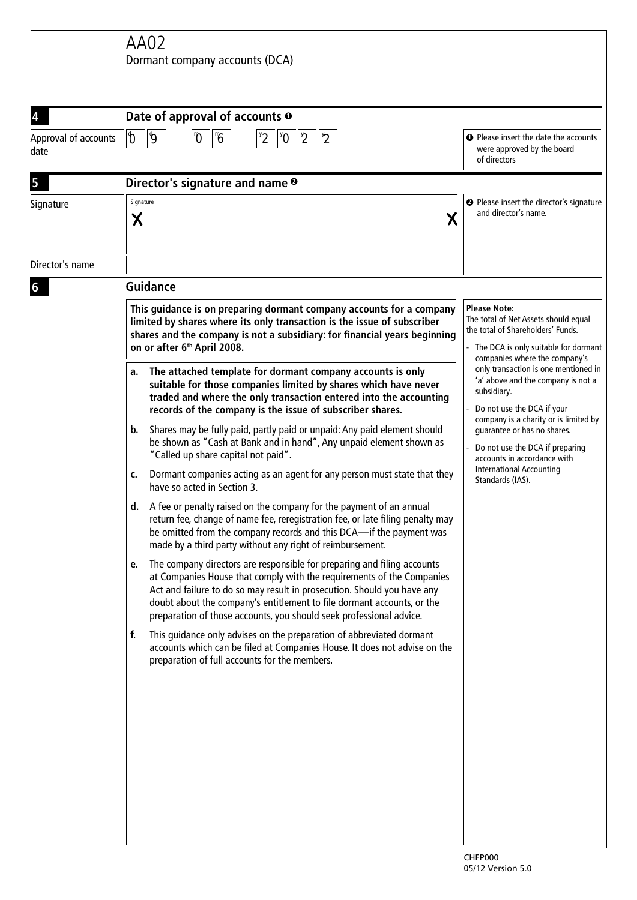AA02 Dormant company accounts (DCA)

| 4                            | Date of approval of accounts $\bullet$                                                                                                                                                                                                                                                                                                                                       |                                                                                                                                                                           |  |  |
|------------------------------|------------------------------------------------------------------------------------------------------------------------------------------------------------------------------------------------------------------------------------------------------------------------------------------------------------------------------------------------------------------------------|---------------------------------------------------------------------------------------------------------------------------------------------------------------------------|--|--|
| Approval of accounts<br>date | $ \pmb{\vartheta} $<br>$\mathbf{0}$<br>$\sqrt[1]{6}$<br>$\mathbf{\emptyset}$<br>$2^{\nu}$<br>$\mathbf{0}^{\mathbf{v}}$<br>$\mathbf{r}$<br>$2^{v}$                                                                                                                                                                                                                            | <b>O</b> Please insert the date the accounts<br>were approved by the board<br>of directors                                                                                |  |  |
| 5                            | Director's signature and name <sup>o</sup>                                                                                                                                                                                                                                                                                                                                   |                                                                                                                                                                           |  |  |
| Signature                    | Signature<br>Χ<br>Χ                                                                                                                                                                                                                                                                                                                                                          | <sup>2</sup> Please insert the director's signature<br>and director's name.                                                                                               |  |  |
| Director's name              |                                                                                                                                                                                                                                                                                                                                                                              |                                                                                                                                                                           |  |  |
| 6                            | <b>Guidance</b>                                                                                                                                                                                                                                                                                                                                                              |                                                                                                                                                                           |  |  |
|                              | This guidance is on preparing dormant company accounts for a company<br>limited by shares where its only transaction is the issue of subscriber<br>shares and the company is not a subsidiary: for financial years beginning<br>on or after 6 <sup>th</sup> April 2008.                                                                                                      | <b>Please Note:</b><br>The total of Net Assets should equal<br>the total of Shareholders' Funds.<br>The DCA is only suitable for dormant<br>companies where the company's |  |  |
|                              | The attached template for dormant company accounts is only<br>a.<br>suitable for those companies limited by shares which have never<br>traded and where the only transaction entered into the accounting<br>records of the company is the issue of subscriber shares.                                                                                                        | only transaction is one mentioned in<br>'a' above and the company is not a<br>subsidiary.<br>Do not use the DCA if your<br>company is a charity or is limited by          |  |  |
|                              | Shares may be fully paid, partly paid or unpaid: Any paid element should<br>b.<br>be shown as "Cash at Bank and in hand", Any unpaid element shown as<br>"Called up share capital not paid".                                                                                                                                                                                 | guarantee or has no shares.<br>Do not use the DCA if preparing<br>accounts in accordance with                                                                             |  |  |
|                              | Dormant companies acting as an agent for any person must state that they<br>c.<br>have so acted in Section 3.                                                                                                                                                                                                                                                                | <b>International Accounting</b><br>Standards (IAS).                                                                                                                       |  |  |
|                              | d. A fee or penalty raised on the company for the payment of an annual<br>return fee, change of name fee, reregistration fee, or late filing penalty may<br>be omitted from the company records and this DCA-if the payment was<br>made by a third party without any right of reimbursement.                                                                                 |                                                                                                                                                                           |  |  |
|                              | The company directors are responsible for preparing and filing accounts<br>at Companies House that comply with the requirements of the Companies<br>Act and failure to do so may result in prosecution. Should you have any<br>doubt about the company's entitlement to file dormant accounts, or the<br>preparation of those accounts, you should seek professional advice. |                                                                                                                                                                           |  |  |
|                              | f.<br>This guidance only advises on the preparation of abbreviated dormant<br>accounts which can be filed at Companies House. It does not advise on the<br>preparation of full accounts for the members.                                                                                                                                                                     |                                                                                                                                                                           |  |  |
|                              |                                                                                                                                                                                                                                                                                                                                                                              |                                                                                                                                                                           |  |  |
|                              |                                                                                                                                                                                                                                                                                                                                                                              |                                                                                                                                                                           |  |  |
|                              |                                                                                                                                                                                                                                                                                                                                                                              |                                                                                                                                                                           |  |  |
|                              |                                                                                                                                                                                                                                                                                                                                                                              | CULEDOOC                                                                                                                                                                  |  |  |